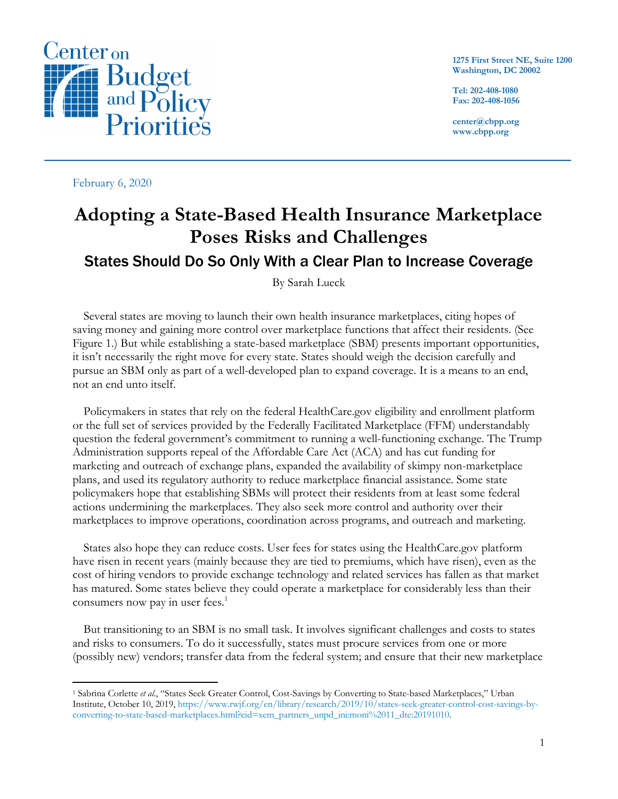

February 6, 2020

**1275 First Street NE, Suite 1200 Washington, DC 20002**

**Tel: 202-408-1080 Fax: 202-408-1056**

**center@cbpp.org www.cbpp.org**

# **Adopting a State-Based Health Insurance Marketplace Poses Risks and Challenges** States Should Do So Only With a Clear Plan to Increase Coverage

By Sarah Lueck

Several states are moving to launch their own health insurance marketplaces, citing hopes of saving money and gaining more control over marketplace functions that affect their residents. (See Figure 1.) But while establishing a state-based marketplace (SBM) presents important opportunities, it isn't necessarily the right move for every state. States should weigh the decision carefully and pursue an SBM only as part of a well-developed plan to expand coverage. It is a means to an end, not an end unto itself.

Policymakers in states that rely on the federal HealthCare.gov eligibility and enrollment platform or the full set of services provided by the Federally Facilitated Marketplace (FFM) understandably question the federal government's commitment to running a well-functioning exchange. The Trump Administration supports repeal of the Affordable Care Act (ACA) and has cut funding for marketing and outreach of exchange plans, expanded the availability of skimpy non-marketplace plans, and used its regulatory authority to reduce marketplace financial assistance. Some state policymakers hope that establishing SBMs will protect their residents from at least some federal actions undermining the marketplaces. They also seek more control and authority over their marketplaces to improve operations, coordination across programs, and outreach and marketing.

States also hope they can reduce costs. User fees for states using the HealthCare.gov platform have risen in recent years (mainly because they are tied to premiums, which have risen), even as the cost of hiring vendors to provide exchange technology and related services has fallen as that market has matured. Some states believe they could operate a marketplace for considerably less than their consumers now pay in user fees. 1

But transitioning to an SBM is no small task. It involves significant challenges and costs to states and risks to consumers. To do it successfully, states must procure services from one or more (possibly new) vendors; transfer data from the federal system; and ensure that their new marketplace

<sup>1</sup> Sabrina Corlette *et al*., "States Seek Greater Control, Cost-Savings by Converting to State-based Marketplaces," Urban Institute, October 10, 2019, https://www.rwjf.org/en/library/research/2019/10/states-seek-greater-control-cost-savings-byconverting-to-state-based-marketplaces.html?cid=xem\_partners\_unpd\_ini:moni%2011\_dte:20191010.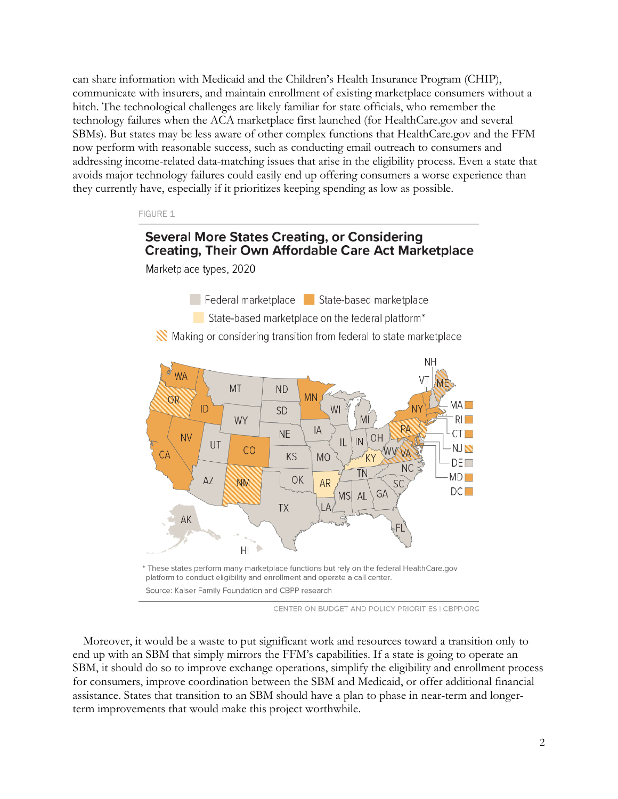can share information with Medicaid and the Children's Health Insurance Program (CHIP), communicate with insurers, and maintain enrollment of existing marketplace consumers without a hitch. The technological challenges are likely familiar for state officials, who remember the technology failures when the ACA marketplace first launched (for HealthCare.gov and several SBMs). But states may be less aware of other complex functions that HealthCare.gov and the FFM now perform with reasonable success, such as conducting email outreach to consumers and addressing income-related data-matching issues that arise in the eligibility process. Even a state that avoids major technology failures could easily end up offering consumers a worse experience than they currently have, especially if it prioritizes keeping spending as low as possible.

FIGURE 1

# **Several More States Creating, or Considering Creating, Their Own Affordable Care Act Marketplace**

Marketplace types, 2020

Federal marketplace State-based marketplace

State-based marketplace on the federal platform<sup>\*</sup>

Making or considering transition from federal to state marketplace



CENTER ON BUDGET AND POLICY PRIORITIES I CBPP.ORG

Moreover, it would be a waste to put significant work and resources toward a transition only to end up with an SBM that simply mirrors the FFM's capabilities. If a state is going to operate an SBM, it should do so to improve exchange operations, simplify the eligibility and enrollment process for consumers, improve coordination between the SBM and Medicaid, or offer additional financial assistance. States that transition to an SBM should have a plan to phase in near-term and longerterm improvements that would make this project worthwhile.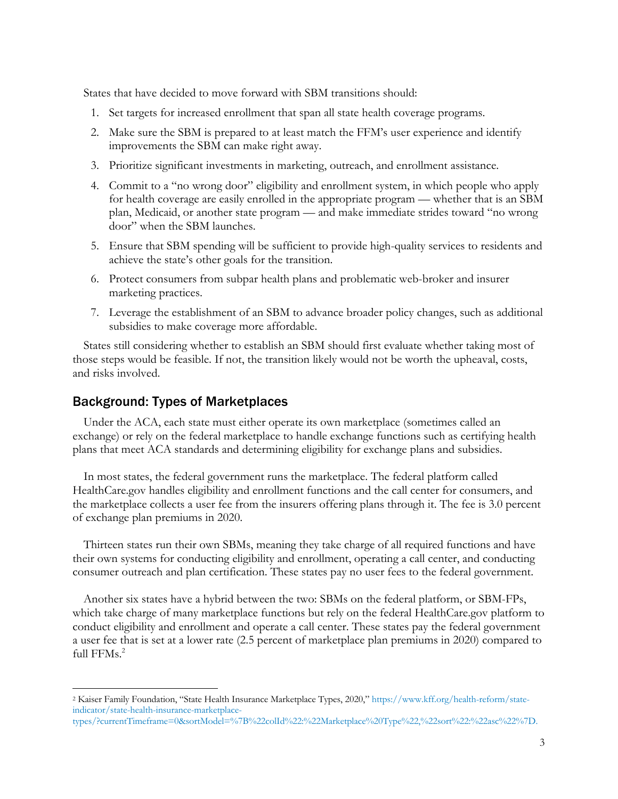States that have decided to move forward with SBM transitions should:

- 1. Set targets for increased enrollment that span all state health coverage programs.
- 2. Make sure the SBM is prepared to at least match the FFM's user experience and identify improvements the SBM can make right away.
- 3. Prioritize significant investments in marketing, outreach, and enrollment assistance.
- 4. Commit to a "no wrong door" eligibility and enrollment system, in which people who apply for health coverage are easily enrolled in the appropriate program — whether that is an SBM plan, Medicaid, or another state program — and make immediate strides toward "no wrong door" when the SBM launches.
- 5. Ensure that SBM spending will be sufficient to provide high-quality services to residents and achieve the state's other goals for the transition.
- 6. Protect consumers from subpar health plans and problematic web-broker and insurer marketing practices.
- 7. Leverage the establishment of an SBM to advance broader policy changes, such as additional subsidies to make coverage more affordable.

States still considering whether to establish an SBM should first evaluate whether taking most of those steps would be feasible. If not, the transition likely would not be worth the upheaval, costs, and risks involved.

### Background: Types of Marketplaces

Under the ACA, each state must either operate its own marketplace (sometimes called an exchange) or rely on the federal marketplace to handle exchange functions such as certifying health plans that meet ACA standards and determining eligibility for exchange plans and subsidies.

In most states, the federal government runs the marketplace. The federal platform called HealthCare.gov handles eligibility and enrollment functions and the call center for consumers, and the marketplace collects a user fee from the insurers offering plans through it. The fee is 3.0 percent of exchange plan premiums in 2020.

Thirteen states run their own SBMs, meaning they take charge of all required functions and have their own systems for conducting eligibility and enrollment, operating a call center, and conducting consumer outreach and plan certification. These states pay no user fees to the federal government.

Another six states have a hybrid between the two: SBMs on the federal platform, or SBM-FPs, which take charge of many marketplace functions but rely on the federal HealthCare.gov platform to conduct eligibility and enrollment and operate a call center. These states pay the federal government a user fee that is set at a lower rate (2.5 percent of marketplace plan premiums in 2020) compared to full FFMs. 2

<sup>2</sup> Kaiser Family Foundation, "State Health Insurance Marketplace Types, 2020," https://www.kff.org/health-reform/stateindicator/state-health-insurance-marketplace-

types/?currentTimeframe=0&sortModel=%7B%22colId%22:%22Marketplace%20Type%22,%22sort%22:%22asc%22%7D.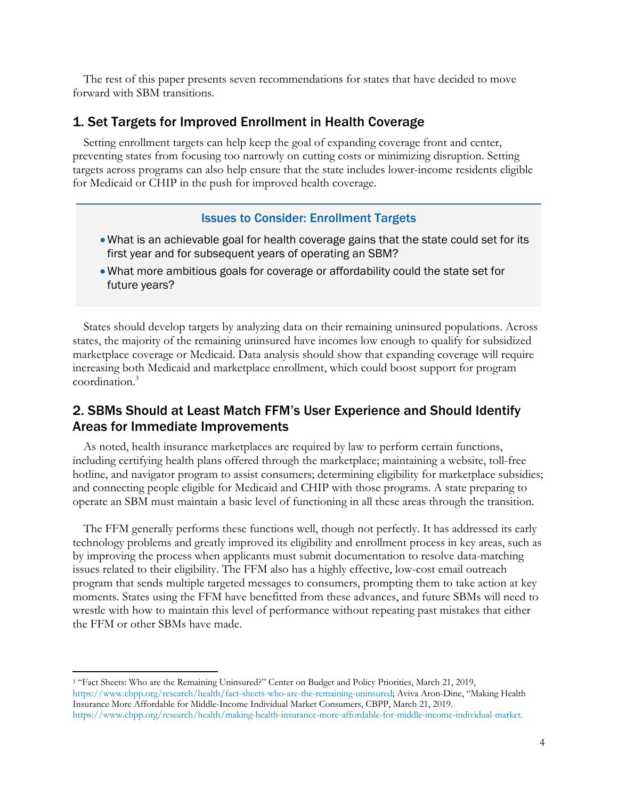The rest of this paper presents seven recommendations for states that have decided to move forward with SBM transitions.

### 1. Set Targets for Improved Enrollment in Health Coverage

Setting enrollment targets can help keep the goal of expanding coverage front and center, preventing states from focusing too narrowly on cutting costs or minimizing disruption. Setting targets across programs can also help ensure that the state includes lower-income residents eligible for Medicaid or CHIP in the push for improved health coverage.

#### Issues to Consider: Enrollment Targets

- What is an achievable goal for health coverage gains that the state could set for its first year and for subsequent years of operating an SBM?
- What more ambitious goals for coverage or affordability could the state set for future years?

States should develop targets by analyzing data on their remaining uninsured populations. Across states, the majority of the remaining uninsured have incomes low enough to qualify for subsidized marketplace coverage or Medicaid. Data analysis should show that expanding coverage will require increasing both Medicaid and marketplace enrollment, which could boost support for program coordination.3

# 2. SBMs Should at Least Match FFM's User Experience and Should Identify Areas for Immediate Improvements

As noted, health insurance marketplaces are required by law to perform certain functions, including certifying health plans offered through the marketplace; maintaining a website, toll-free hotline, and navigator program to assist consumers; determining eligibility for marketplace subsidies; and connecting people eligible for Medicaid and CHIP with those programs. A state preparing to operate an SBM must maintain a basic level of functioning in all these areas through the transition.

The FFM generally performs these functions well, though not perfectly. It has addressed its early technology problems and greatly improved its eligibility and enrollment process in key areas, such as by improving the process when applicants must submit documentation to resolve data-matching issues related to their eligibility. The FFM also has a highly effective, low-cost email outreach program that sends multiple targeted messages to consumers, prompting them to take action at key moments. States using the FFM have benefitted from these advances, and future SBMs will need to wrestle with how to maintain this level of performance without repeating past mistakes that either the FFM or other SBMs have made.

<sup>&</sup>lt;sup>3</sup> "Fact Sheets: Who are the Remaining Uninsured?" Center on Budget and Policy Priorities, March 21, 2019, https://www.cbpp.org/research/health/fact-sheets-who-are-the-remaining-uninsured; Aviva Aron-Dine, "Making Health Insurance More Affordable for Middle-Income Individual Market Consumers, CBPP, March 21, 2019. https://www.cbpp.org/research/health/making-health-insurance-more-affordable-for-middle-income-individual-market.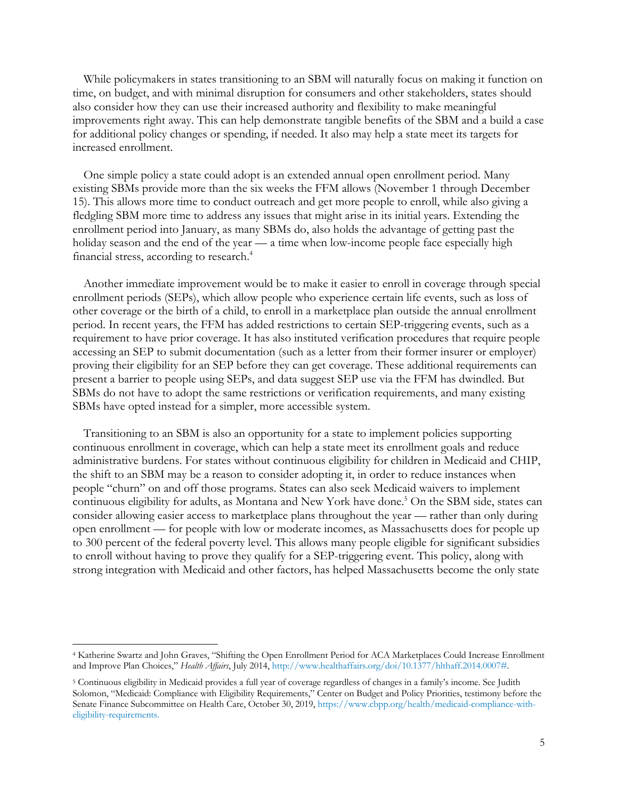While policymakers in states transitioning to an SBM will naturally focus on making it function on time, on budget, and with minimal disruption for consumers and other stakeholders, states should also consider how they can use their increased authority and flexibility to make meaningful improvements right away. This can help demonstrate tangible benefits of the SBM and a build a case for additional policy changes or spending, if needed. It also may help a state meet its targets for increased enrollment.

One simple policy a state could adopt is an extended annual open enrollment period. Many existing SBMs provide more than the six weeks the FFM allows (November 1 through December 15). This allows more time to conduct outreach and get more people to enroll, while also giving a fledgling SBM more time to address any issues that might arise in its initial years. Extending the enrollment period into January, as many SBMs do, also holds the advantage of getting past the holiday season and the end of the year — a time when low-income people face especially high financial stress, according to research.<sup>4</sup>

Another immediate improvement would be to make it easier to enroll in coverage through special enrollment periods (SEPs), which allow people who experience certain life events, such as loss of other coverage or the birth of a child, to enroll in a marketplace plan outside the annual enrollment period. In recent years, the FFM has added restrictions to certain SEP-triggering events, such as a requirement to have prior coverage. It has also instituted verification procedures that require people accessing an SEP to submit documentation (such as a letter from their former insurer or employer) proving their eligibility for an SEP before they can get coverage. These additional requirements can present a barrier to people using SEPs, and data suggest SEP use via the FFM has dwindled. But SBMs do not have to adopt the same restrictions or verification requirements, and many existing SBMs have opted instead for a simpler, more accessible system.

Transitioning to an SBM is also an opportunity for a state to implement policies supporting continuous enrollment in coverage, which can help a state meet its enrollment goals and reduce administrative burdens. For states without continuous eligibility for children in Medicaid and CHIP, the shift to an SBM may be a reason to consider adopting it, in order to reduce instances when people "churn" on and off those programs. States can also seek Medicaid waivers to implement continuous eligibility for adults, as Montana and New York have done.<sup>5</sup> On the SBM side, states can consider allowing easier access to marketplace plans throughout the year — rather than only during open enrollment — for people with low or moderate incomes, as Massachusetts does for people up to 300 percent of the federal poverty level. This allows many people eligible for significant subsidies to enroll without having to prove they qualify for a SEP-triggering event. This policy, along with strong integration with Medicaid and other factors, has helped Massachusetts become the only state

<sup>4</sup> Katherine Swartz and John Graves, "Shifting the Open Enrollment Period for ACA Marketplaces Could Increase Enrollment and Improve Plan Choices," *Health Affairs*, July 2014, http://www.healthaffairs.org/doi/10.1377/hlthaff.2014.0007#.

<sup>5</sup> Continuous eligibility in Medicaid provides a full year of coverage regardless of changes in a family's income. See Judith Solomon, "Medicaid: Compliance with Eligibility Requirements," Center on Budget and Policy Priorities, testimony before the Senate Finance Subcommittee on Health Care, October 30, 2019, https://www.cbpp.org/health/medicaid-compliance-witheligibility-requirements.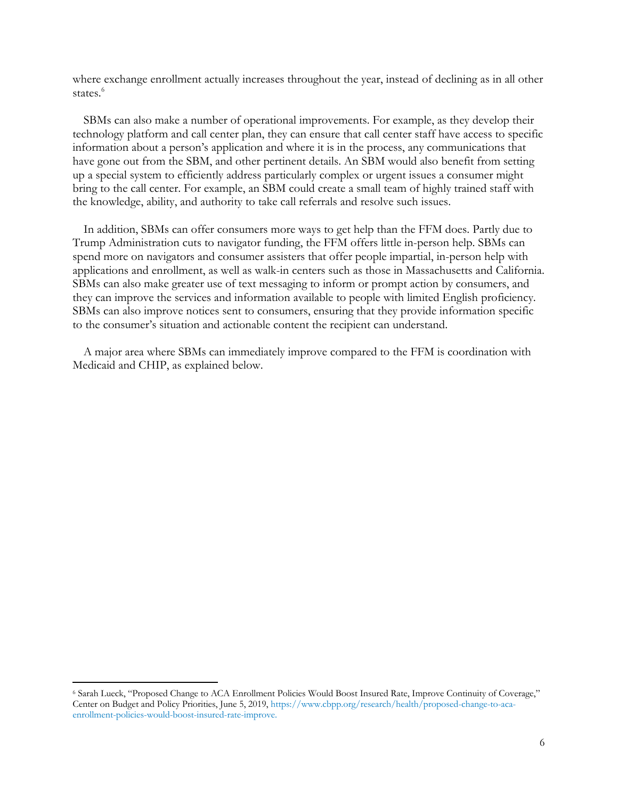where exchange enrollment actually increases throughout the year, instead of declining as in all other states.<sup>6</sup>

SBMs can also make a number of operational improvements. For example, as they develop their technology platform and call center plan, they can ensure that call center staff have access to specific information about a person's application and where it is in the process, any communications that have gone out from the SBM, and other pertinent details. An SBM would also benefit from setting up a special system to efficiently address particularly complex or urgent issues a consumer might bring to the call center. For example, an SBM could create a small team of highly trained staff with the knowledge, ability, and authority to take call referrals and resolve such issues.

In addition, SBMs can offer consumers more ways to get help than the FFM does. Partly due to Trump Administration cuts to navigator funding, the FFM offers little in-person help. SBMs can spend more on navigators and consumer assisters that offer people impartial, in-person help with applications and enrollment, as well as walk-in centers such as those in Massachusetts and California. SBMs can also make greater use of text messaging to inform or prompt action by consumers, and they can improve the services and information available to people with limited English proficiency. SBMs can also improve notices sent to consumers, ensuring that they provide information specific to the consumer's situation and actionable content the recipient can understand.

A major area where SBMs can immediately improve compared to the FFM is coordination with Medicaid and CHIP, as explained below.

<sup>6</sup> Sarah Lueck, "Proposed Change to ACA Enrollment Policies Would Boost Insured Rate, Improve Continuity of Coverage," Center on Budget and Policy Priorities, June 5, 2019, https://www.cbpp.org/research/health/proposed-change-to-acaenrollment-policies-would-boost-insured-rate-improve.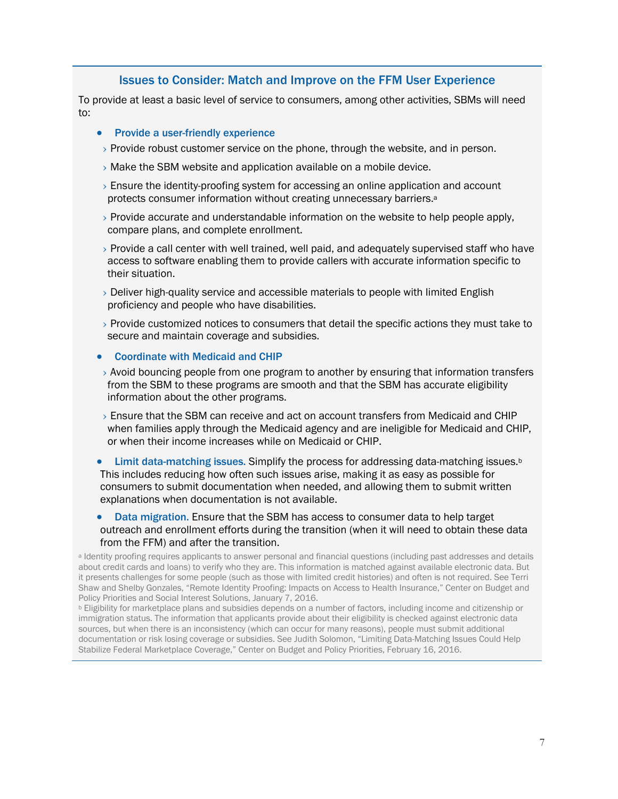### Issues to Consider: Match and Improve on the FFM User Experience

To provide at least a basic level of service to consumers, among other activities, SBMs will need to:

- Provide a user-friendly experience
- $\rightarrow$  Provide robust customer service on the phone, through the website, and in person.
- $\rightarrow$  Make the SBM website and application available on a mobile device.
- › Ensure the identity-proofing system for accessing an online application and account protects consumer information without creating unnecessary barriers.<sup>a</sup>
- $\rightarrow$  Provide accurate and understandable information on the website to help people apply, compare plans, and complete enrollment.
- › Provide a call center with well trained, well paid, and adequately supervised staff who have access to software enabling them to provide callers with accurate information specific to their situation.
- › Deliver high-quality service and accessible materials to people with limited English proficiency and people who have disabilities.
- › Provide customized notices to consumers that detail the specific actions they must take to secure and maintain coverage and subsidies.

#### • Coordinate with Medicaid and CHIP

- › Avoid bouncing people from one program to another by ensuring that information transfers from the SBM to these programs are smooth and that the SBM has accurate eligibility information about the other programs.
- › Ensure that the SBM can receive and act on account transfers from Medicaid and CHIP when families apply through the Medicaid agency and are ineligible for Medicaid and CHIP, or when their income increases while on Medicaid or CHIP.
- **Limit data-matching issues.** Simplify the process for addressing data-matching issues. $\frac{1}{2}$ This includes reducing how often such issues arise, making it as easy as possible for consumers to submit documentation when needed, and allowing them to submit written explanations when documentation is not available.
- Data migration. Ensure that the SBM has access to consumer data to help target outreach and enrollment efforts during the transition (when it will need to obtain these data from the FFM) and after the transition.

<sup>a</sup> Identity proofing requires applicants to answer personal and financial questions (including past addresses and details about credit cards and loans) to verify who they are. This information is matched against available electronic data. But it presents challenges for some people (such as those with limited credit histories) and often is not required. See Terri Shaw and Shelby Gonzales, "Remote Identity Proofing: Impacts on Access to Health Insurance," Center on Budget and Policy Priorities and Social Interest Solutions, January 7, 2016.

<sup>b</sup> Eligibility for marketplace plans and subsidies depends on a number of factors, including income and citizenship or immigration status. The information that applicants provide about their eligibility is checked against electronic data sources, but when there is an inconsistency (which can occur for many reasons), people must submit additional documentation or risk losing coverage or subsidies. See Judith Solomon, "Limiting Data-Matching Issues Could Help Stabilize Federal Marketplace Coverage," Center on Budget and Policy Priorities, February 16, 2016.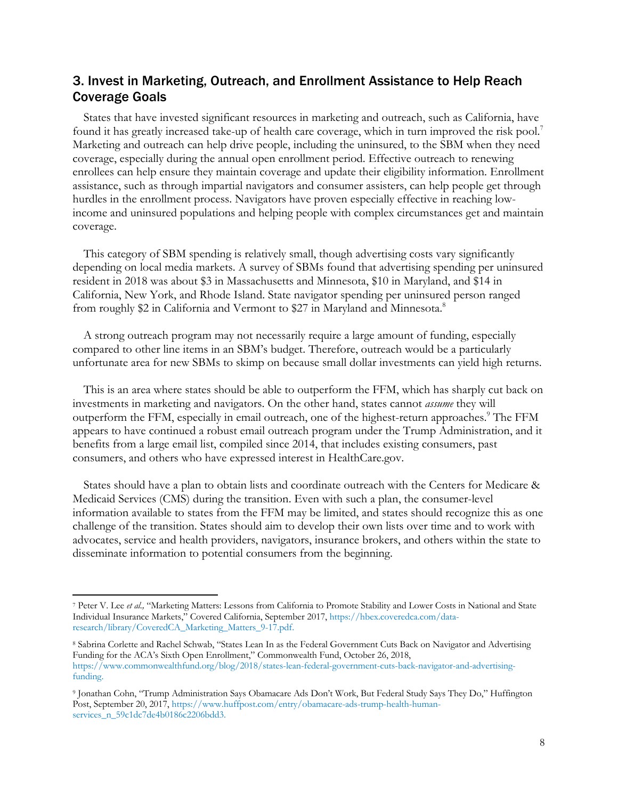# 3. Invest in Marketing, Outreach, and Enrollment Assistance to Help Reach Coverage Goals

States that have invested significant resources in marketing and outreach, such as California, have found it has greatly increased take-up of health care coverage, which in turn improved the risk pool.7 Marketing and outreach can help drive people, including the uninsured, to the SBM when they need coverage, especially during the annual open enrollment period. Effective outreach to renewing enrollees can help ensure they maintain coverage and update their eligibility information. Enrollment assistance, such as through impartial navigators and consumer assisters, can help people get through hurdles in the enrollment process. Navigators have proven especially effective in reaching lowincome and uninsured populations and helping people with complex circumstances get and maintain coverage.

This category of SBM spending is relatively small, though advertising costs vary significantly depending on local media markets. A survey of SBMs found that advertising spending per uninsured resident in 2018 was about \$3 in Massachusetts and Minnesota, \$10 in Maryland, and \$14 in California, New York, and Rhode Island. State navigator spending per uninsured person ranged from roughly \$2 in California and Vermont to \$27 in Maryland and Minnesota.<sup>8</sup>

A strong outreach program may not necessarily require a large amount of funding, especially compared to other line items in an SBM's budget. Therefore, outreach would be a particularly unfortunate area for new SBMs to skimp on because small dollar investments can yield high returns.

This is an area where states should be able to outperform the FFM, which has sharply cut back on investments in marketing and navigators. On the other hand, states cannot *assume* they will outperform the FFM, especially in email outreach, one of the highest-return approaches.9 The FFM appears to have continued a robust email outreach program under the Trump Administration, and it benefits from a large email list, compiled since 2014, that includes existing consumers, past consumers, and others who have expressed interest in HealthCare.gov.

States should have a plan to obtain lists and coordinate outreach with the Centers for Medicare & Medicaid Services (CMS) during the transition. Even with such a plan, the consumer-level information available to states from the FFM may be limited, and states should recognize this as one challenge of the transition. States should aim to develop their own lists over time and to work with advocates, service and health providers, navigators, insurance brokers, and others within the state to disseminate information to potential consumers from the beginning.

<sup>7</sup> Peter V. Lee *et al.,* "Marketing Matters: Lessons from California to Promote Stability and Lower Costs in National and State Individual Insurance Markets," Covered California, September 2017, https://hbex.coveredca.com/dataresearch/library/CoveredCA\_Marketing\_Matters\_9-17.pdf.

<sup>8</sup> Sabrina Corlette and Rachel Schwab, "States Lean In as the Federal Government Cuts Back on Navigator and Advertising Funding for the ACA's Sixth Open Enrollment," Commonwealth Fund, October 26, 2018, https://www.commonwealthfund.org/blog/2018/states-lean-federal-government-cuts-back-navigator-and-advertisingfunding.

<sup>9</sup> Jonathan Cohn, "Trump Administration Says Obamacare Ads Don't Work, But Federal Study Says They Do," Huffington Post, September 20, 2017, https://www.huffpost.com/entry/obamacare-ads-trump-health-humanservices\_n\_59c1dc7de4b0186c2206bdd3.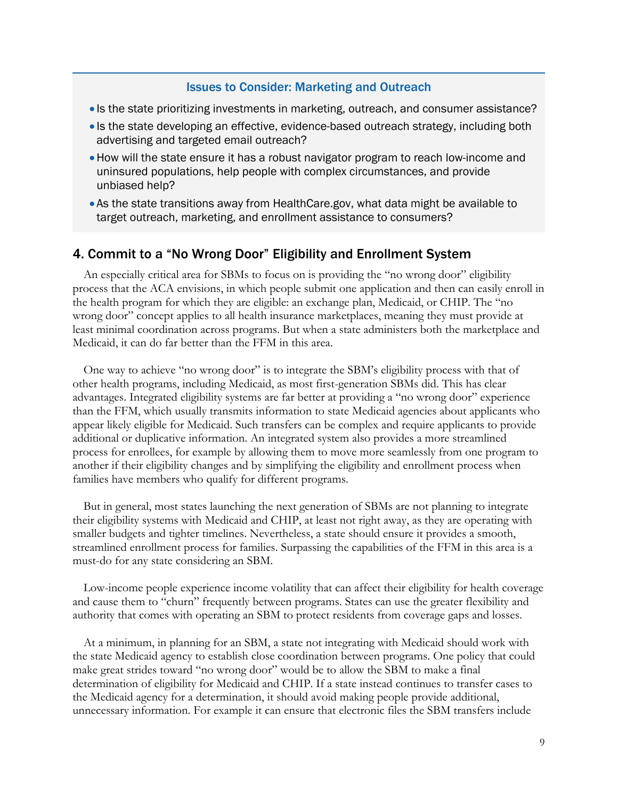#### Issues to Consider: Marketing and Outreach

- Is the state prioritizing investments in marketing, outreach, and consumer assistance?
- Is the state developing an effective, evidence-based outreach strategy, including both advertising and targeted email outreach?
- •How will the state ensure it has a robust navigator program to reach low-income and uninsured populations, help people with complex circumstances, and provide unbiased help?
- As the state transitions away from HealthCare.gov, what data might be available to target outreach, marketing, and enrollment assistance to consumers?

### 4. Commit to a "No Wrong Door" Eligibility and Enrollment System

An especially critical area for SBMs to focus on is providing the "no wrong door" eligibility process that the ACA envisions, in which people submit one application and then can easily enroll in the health program for which they are eligible: an exchange plan, Medicaid, or CHIP. The "no wrong door" concept applies to all health insurance marketplaces, meaning they must provide at least minimal coordination across programs. But when a state administers both the marketplace and Medicaid, it can do far better than the FFM in this area.

One way to achieve "no wrong door" is to integrate the SBM's eligibility process with that of other health programs, including Medicaid, as most first-generation SBMs did. This has clear advantages. Integrated eligibility systems are far better at providing a "no wrong door" experience than the FFM, which usually transmits information to state Medicaid agencies about applicants who appear likely eligible for Medicaid. Such transfers can be complex and require applicants to provide additional or duplicative information. An integrated system also provides a more streamlined process for enrollees, for example by allowing them to move more seamlessly from one program to another if their eligibility changes and by simplifying the eligibility and enrollment process when families have members who qualify for different programs.

But in general, most states launching the next generation of SBMs are not planning to integrate their eligibility systems with Medicaid and CHIP, at least not right away, as they are operating with smaller budgets and tighter timelines. Nevertheless, a state should ensure it provides a smooth, streamlined enrollment process for families. Surpassing the capabilities of the FFM in this area is a must-do for any state considering an SBM.

Low-income people experience income volatility that can affect their eligibility for health coverage and cause them to "churn" frequently between programs. States can use the greater flexibility and authority that comes with operating an SBM to protect residents from coverage gaps and losses.

At a minimum, in planning for an SBM, a state not integrating with Medicaid should work with the state Medicaid agency to establish close coordination between programs. One policy that could make great strides toward "no wrong door" would be to allow the SBM to make a final determination of eligibility for Medicaid and CHIP. If a state instead continues to transfer cases to the Medicaid agency for a determination, it should avoid making people provide additional, unnecessary information. For example it can ensure that electronic files the SBM transfers include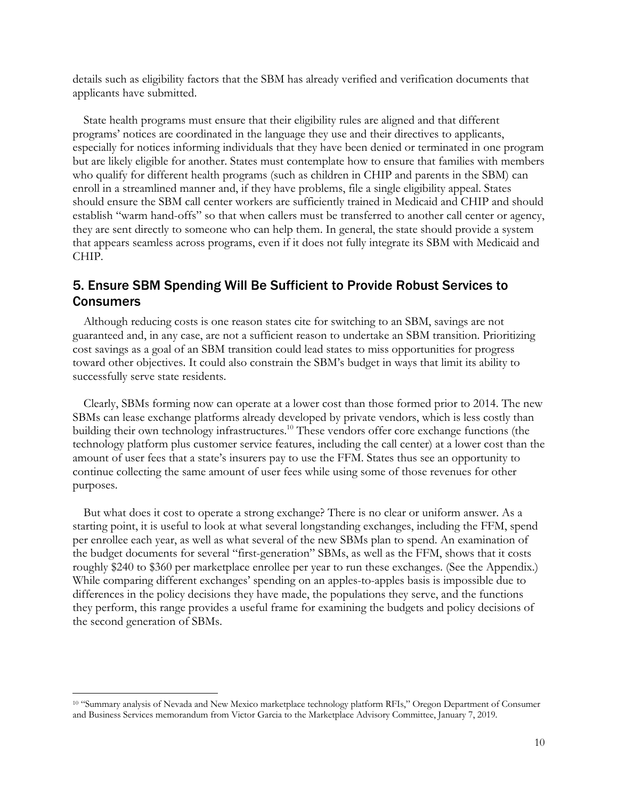details such as eligibility factors that the SBM has already verified and verification documents that applicants have submitted.

State health programs must ensure that their eligibility rules are aligned and that different programs' notices are coordinated in the language they use and their directives to applicants, especially for notices informing individuals that they have been denied or terminated in one program but are likely eligible for another. States must contemplate how to ensure that families with members who qualify for different health programs (such as children in CHIP and parents in the SBM) can enroll in a streamlined manner and, if they have problems, file a single eligibility appeal. States should ensure the SBM call center workers are sufficiently trained in Medicaid and CHIP and should establish "warm hand-offs" so that when callers must be transferred to another call center or agency, they are sent directly to someone who can help them. In general, the state should provide a system that appears seamless across programs, even if it does not fully integrate its SBM with Medicaid and CHIP.

# 5. Ensure SBM Spending Will Be Sufficient to Provide Robust Services to Consumers

Although reducing costs is one reason states cite for switching to an SBM, savings are not guaranteed and, in any case, are not a sufficient reason to undertake an SBM transition. Prioritizing cost savings as a goal of an SBM transition could lead states to miss opportunities for progress toward other objectives. It could also constrain the SBM's budget in ways that limit its ability to successfully serve state residents.

Clearly, SBMs forming now can operate at a lower cost than those formed prior to 2014. The new SBMs can lease exchange platforms already developed by private vendors, which is less costly than building their own technology infrastructures.<sup>10</sup> These vendors offer core exchange functions (the technology platform plus customer service features, including the call center) at a lower cost than the amount of user fees that a state's insurers pay to use the FFM. States thus see an opportunity to continue collecting the same amount of user fees while using some of those revenues for other purposes.

But what does it cost to operate a strong exchange? There is no clear or uniform answer. As a starting point, it is useful to look at what several longstanding exchanges, including the FFM, spend per enrollee each year, as well as what several of the new SBMs plan to spend. An examination of the budget documents for several "first-generation" SBMs, as well as the FFM, shows that it costs roughly \$240 to \$360 per marketplace enrollee per year to run these exchanges. (See the Appendix.) While comparing different exchanges' spending on an apples-to-apples basis is impossible due to differences in the policy decisions they have made, the populations they serve, and the functions they perform, this range provides a useful frame for examining the budgets and policy decisions of the second generation of SBMs.

<sup>10</sup> "Summary analysis of Nevada and New Mexico marketplace technology platform RFIs," Oregon Department of Consumer and Business Services memorandum from Victor Garcia to the Marketplace Advisory Committee, January 7, 2019.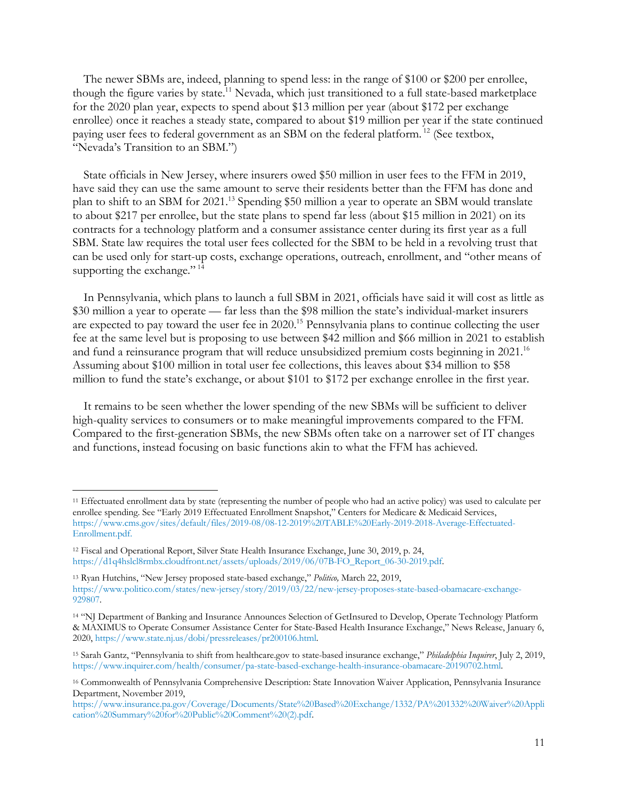The newer SBMs are, indeed, planning to spend less: in the range of \$100 or \$200 per enrollee, though the figure varies by state.<sup>11</sup> Nevada, which just transitioned to a full state-based marketplace for the 2020 plan year, expects to spend about \$13 million per year (about \$172 per exchange enrollee) once it reaches a steady state, compared to about \$19 million per year if the state continued paying user fees to federal government as an SBM on the federal platform.<sup>12</sup> (See textbox, "Nevada's Transition to an SBM.")

State officials in New Jersey, where insurers owed \$50 million in user fees to the FFM in 2019, have said they can use the same amount to serve their residents better than the FFM has done and plan to shift to an SBM for 2021. <sup>13</sup> Spending \$50 million a year to operate an SBM would translate to about \$217 per enrollee, but the state plans to spend far less (about \$15 million in 2021) on its contracts for a technology platform and a consumer assistance center during its first year as a full SBM. State law requires the total user fees collected for the SBM to be held in a revolving trust that can be used only for start-up costs, exchange operations, outreach, enrollment, and "other means of supporting the exchange."<sup>14</sup>

In Pennsylvania, which plans to launch a full SBM in 2021, officials have said it will cost as little as \$30 million a year to operate — far less than the \$98 million the state's individual-market insurers are expected to pay toward the user fee in 2020.15 Pennsylvania plans to continue collecting the user fee at the same level but is proposing to use between \$42 million and \$66 million in 2021 to establish and fund a reinsurance program that will reduce unsubsidized premium costs beginning in  $2021$ .<sup>16</sup> Assuming about \$100 million in total user fee collections, this leaves about \$34 million to \$58 million to fund the state's exchange, or about \$101 to \$172 per exchange enrollee in the first year.

It remains to be seen whether the lower spending of the new SBMs will be sufficient to deliver high-quality services to consumers or to make meaningful improvements compared to the FFM. Compared to the first-generation SBMs, the new SBMs often take on a narrower set of IT changes and functions, instead focusing on basic functions akin to what the FFM has achieved.

<sup>11</sup> Effectuated enrollment data by state (representing the number of people who had an active policy) was used to calculate per enrollee spending. See "Early 2019 Effectuated Enrollment Snapshot," Centers for Medicare & Medicaid Services, https://www.cms.gov/sites/default/files/2019-08/08-12-2019%20TABLE%20Early-2019-2018-Average-Effectuated-Enrollment.pdf.

<sup>12</sup> Fiscal and Operational Report, Silver State Health Insurance Exchange, June 30, 2019, p. 24, https://d1q4hslcl8rmbx.cloudfront.net/assets/uploads/2019/06/07B-FO\_Report\_06-30-2019.pdf.

<sup>13</sup> Ryan Hutchins, "New Jersey proposed state-based exchange," *Politico,* March 22, 2019, https://www.politico.com/states/new-jersey/story/2019/03/22/new-jersey-proposes-state-based-obamacare-exchange-929807.

<sup>14</sup> "NJ Department of Banking and Insurance Announces Selection of GetInsured to Develop, Operate Technology Platform & MAXIMUS to Operate Consumer Assistance Center for State-Based Health Insurance Exchange," News Release, January 6, 2020, https://www.state.nj.us/dobi/pressreleases/pr200106.html.

<sup>15</sup> Sarah Gantz, "Pennsylvania to shift from healthcare.gov to state-based insurance exchange," *Philadelphia Inquirer*, July 2, 2019, https://www.inquirer.com/health/consumer/pa-state-based-exchange-health-insurance-obamacare-20190702.html.

<sup>16</sup> Commonwealth of Pennsylvania Comprehensive Description: State Innovation Waiver Application, Pennsylvania Insurance Department, November 2019,

https://www.insurance.pa.gov/Coverage/Documents/State%20Based%20Exchange/1332/PA%201332%20Waiver%20Appli cation%20Summary%20for%20Public%20Comment%20(2).pdf.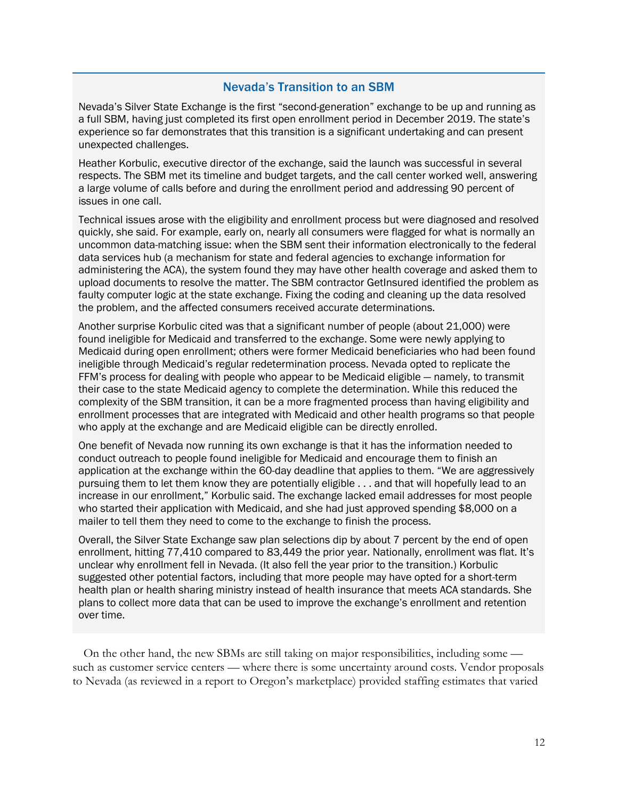### Nevada's Transition to an SBM

Nevada's Silver State Exchange is the first "second-generation" exchange to be up and running as a full SBM, having just completed its first open enrollment period in December 2019. The state's experience so far demonstrates that this transition is a significant undertaking and can present unexpected challenges.

Heather Korbulic, executive director of the exchange, said the launch was successful in several respects. The SBM met its timeline and budget targets, and the call center worked well, answering a large volume of calls before and during the enrollment period and addressing 90 percent of issues in one call.

Technical issues arose with the eligibility and enrollment process but were diagnosed and resolved quickly, she said. For example, early on, nearly all consumers were flagged for what is normally an uncommon data-matching issue: when the SBM sent their information electronically to the federal data services hub (a mechanism for state and federal agencies to exchange information for administering the ACA), the system found they may have other health coverage and asked them to upload documents to resolve the matter. The SBM contractor GetInsured identified the problem as faulty computer logic at the state exchange. Fixing the coding and cleaning up the data resolved the problem, and the affected consumers received accurate determinations.

Another surprise Korbulic cited was that a significant number of people (about 21,000) were found ineligible for Medicaid and transferred to the exchange. Some were newly applying to Medicaid during open enrollment; others were former Medicaid beneficiaries who had been found ineligible through Medicaid's regular redetermination process. Nevada opted to replicate the FFM's process for dealing with people who appear to be Medicaid eligible — namely, to transmit their case to the state Medicaid agency to complete the determination. While this reduced the complexity of the SBM transition, it can be a more fragmented process than having eligibility and enrollment processes that are integrated with Medicaid and other health programs so that people who apply at the exchange and are Medicaid eligible can be directly enrolled.

One benefit of Nevada now running its own exchange is that it has the information needed to conduct outreach to people found ineligible for Medicaid and encourage them to finish an application at the exchange within the 60-day deadline that applies to them. "We are aggressively pursuing them to let them know they are potentially eligible . . . and that will hopefully lead to an increase in our enrollment," Korbulic said. The exchange lacked email addresses for most people who started their application with Medicaid, and she had just approved spending \$8,000 on a mailer to tell them they need to come to the exchange to finish the process.

Overall, the Silver State Exchange saw plan selections dip by about 7 percent by the end of open enrollment, hitting 77,410 compared to 83,449 the prior year. Nationally, enrollment was flat. It's unclear why enrollment fell in Nevada. (It also fell the year prior to the transition.) Korbulic suggested other potential factors, including that more people may have opted for a short-term health plan or health sharing ministry instead of health insurance that meets ACA standards. She plans to collect more data that can be used to improve the exchange's enrollment and retention over time.

On the other hand, the new SBMs are still taking on major responsibilities, including some such as customer service centers — where there is some uncertainty around costs. Vendor proposals to Nevada (as reviewed in a report to Oregon's marketplace) provided staffing estimates that varied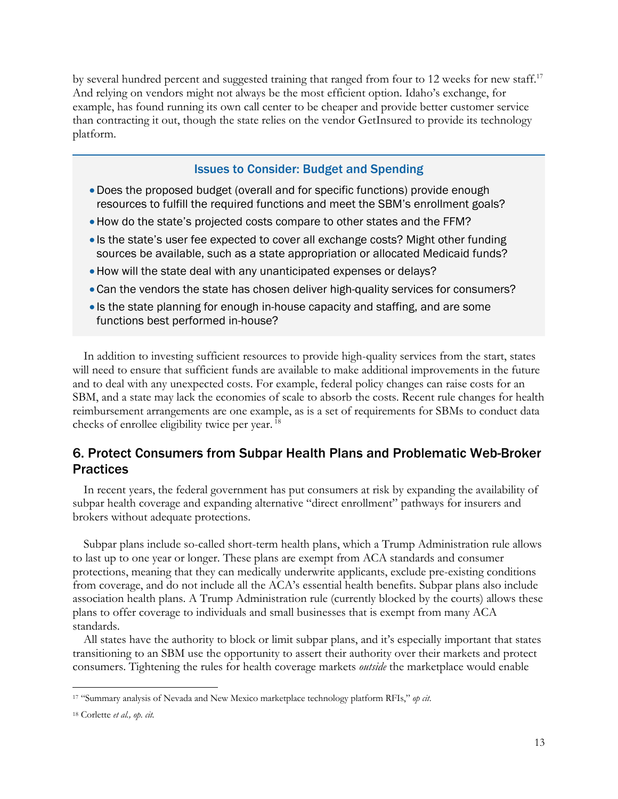by several hundred percent and suggested training that ranged from four to 12 weeks for new staff.<sup>17</sup> And relying on vendors might not always be the most efficient option. Idaho's exchange, for example, has found running its own call center to be cheaper and provide better customer service than contracting it out, though the state relies on the vendor GetInsured to provide its technology platform.

#### Issues to Consider: Budget and Spending

- •Does the proposed budget (overall and for specific functions) provide enough resources to fulfill the required functions and meet the SBM's enrollment goals?
- •How do the state's projected costs compare to other states and the FFM?
- Is the state's user fee expected to cover all exchange costs? Might other funding sources be available, such as a state appropriation or allocated Medicaid funds?
- •How will the state deal with any unanticipated expenses or delays?
- •Can the vendors the state has chosen deliver high-quality services for consumers?
- Is the state planning for enough in-house capacity and staffing, and are some functions best performed in-house?

In addition to investing sufficient resources to provide high-quality services from the start, states will need to ensure that sufficient funds are available to make additional improvements in the future and to deal with any unexpected costs. For example, federal policy changes can raise costs for an SBM, and a state may lack the economies of scale to absorb the costs. Recent rule changes for health reimbursement arrangements are one example, as is a set of requirements for SBMs to conduct data checks of enrollee eligibility twice per year. <sup>18</sup>

# 6. Protect Consumers from Subpar Health Plans and Problematic Web-Broker **Practices**

In recent years, the federal government has put consumers at risk by expanding the availability of subpar health coverage and expanding alternative "direct enrollment" pathways for insurers and brokers without adequate protections.

Subpar plans include so-called short-term health plans, which a Trump Administration rule allows to last up to one year or longer. These plans are exempt from ACA standards and consumer protections, meaning that they can medically underwrite applicants, exclude pre-existing conditions from coverage, and do not include all the ACA's essential health benefits. Subpar plans also include association health plans. A Trump Administration rule (currently blocked by the courts) allows these plans to offer coverage to individuals and small businesses that is exempt from many ACA standards.

All states have the authority to block or limit subpar plans, and it's especially important that states transitioning to an SBM use the opportunity to assert their authority over their markets and protect consumers. Tightening the rules for health coverage markets *outside* the marketplace would enable

<sup>17</sup> "Summary analysis of Nevada and New Mexico marketplace technology platform RFIs," *op cit*.

<sup>18</sup> Corlette *et al., op. cit.*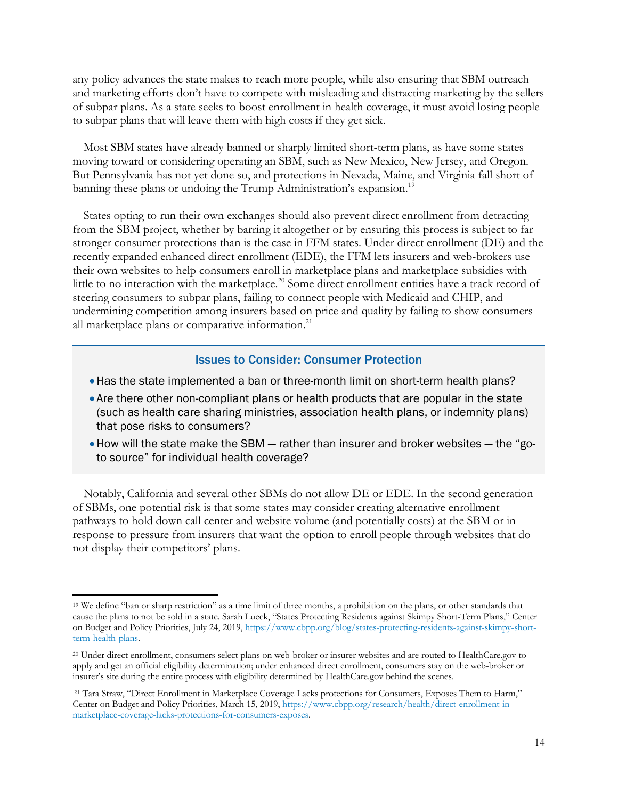any policy advances the state makes to reach more people, while also ensuring that SBM outreach and marketing efforts don't have to compete with misleading and distracting marketing by the sellers of subpar plans. As a state seeks to boost enrollment in health coverage, it must avoid losing people to subpar plans that will leave them with high costs if they get sick.

Most SBM states have already banned or sharply limited short-term plans, as have some states moving toward or considering operating an SBM, such as New Mexico, New Jersey, and Oregon. But Pennsylvania has not yet done so, and protections in Nevada, Maine, and Virginia fall short of banning these plans or undoing the Trump Administration's expansion.<sup>19</sup>

States opting to run their own exchanges should also prevent direct enrollment from detracting from the SBM project, whether by barring it altogether or by ensuring this process is subject to far stronger consumer protections than is the case in FFM states. Under direct enrollment (DE) and the recently expanded enhanced direct enrollment (EDE), the FFM lets insurers and web-brokers use their own websites to help consumers enroll in marketplace plans and marketplace subsidies with little to no interaction with the marketplace.<sup>20</sup> Some direct enrollment entities have a track record of steering consumers to subpar plans, failing to connect people with Medicaid and CHIP, and undermining competition among insurers based on price and quality by failing to show consumers all marketplace plans or comparative information.<sup>21</sup>

#### Issues to Consider: Consumer Protection

- •Has the state implemented a ban or three-month limit on short-term health plans?
- Are there other non-compliant plans or health products that are popular in the state (such as health care sharing ministries, association health plans, or indemnity plans) that pose risks to consumers?
- •How will the state make the SBM rather than insurer and broker websites the "goto source" for individual health coverage?

Notably, California and several other SBMs do not allow DE or EDE. In the second generation of SBMs, one potential risk is that some states may consider creating alternative enrollment pathways to hold down call center and website volume (and potentially costs) at the SBM or in response to pressure from insurers that want the option to enroll people through websites that do not display their competitors' plans.

<sup>19</sup> We define "ban or sharp restriction" as a time limit of three months, a prohibition on the plans, or other standards that cause the plans to not be sold in a state. Sarah Lueck, "States Protecting Residents against Skimpy Short-Term Plans," Center on Budget and Policy Priorities, July 24, 2019, https://www.cbpp.org/blog/states-protecting-residents-against-skimpy-shortterm-health-plans.

<sup>20</sup> Under direct enrollment, consumers select plans on web-broker or insurer websites and are routed to HealthCare.gov to apply and get an official eligibility determination; under enhanced direct enrollment, consumers stay on the web-broker or insurer's site during the entire process with eligibility determined by HealthCare.gov behind the scenes.

<sup>21</sup> Tara Straw, "Direct Enrollment in Marketplace Coverage Lacks protections for Consumers, Exposes Them to Harm," Center on Budget and Policy Priorities, March 15, 2019, https://www.cbpp.org/research/health/direct-enrollment-inmarketplace-coverage-lacks-protections-for-consumers-exposes.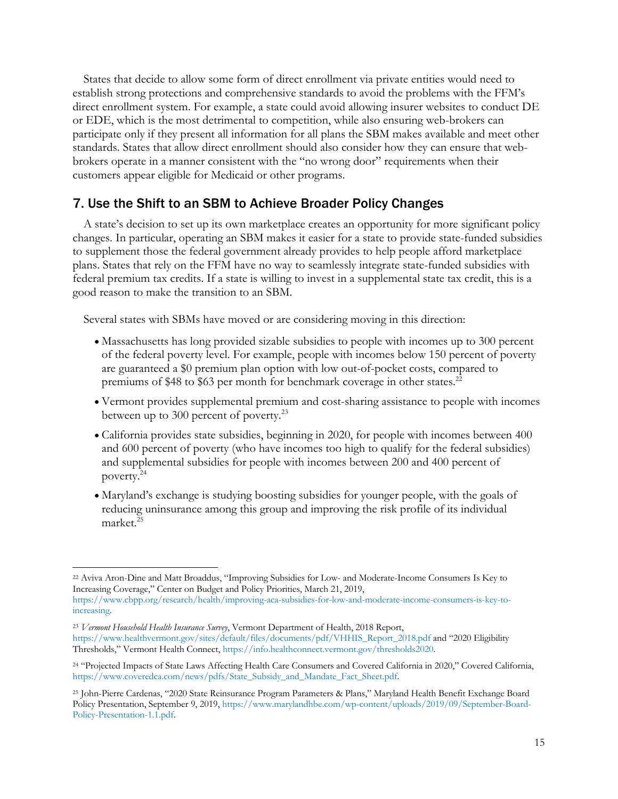States that decide to allow some form of direct enrollment via private entities would need to establish strong protections and comprehensive standards to avoid the problems with the FFM's direct enrollment system. For example, a state could avoid allowing insurer websites to conduct DE or EDE, which is the most detrimental to competition, while also ensuring web-brokers can participate only if they present all information for all plans the SBM makes available and meet other standards. States that allow direct enrollment should also consider how they can ensure that webbrokers operate in a manner consistent with the "no wrong door" requirements when their customers appear eligible for Medicaid or other programs.

### 7. Use the Shift to an SBM to Achieve Broader Policy Changes

A state's decision to set up its own marketplace creates an opportunity for more significant policy changes. In particular, operating an SBM makes it easier for a state to provide state-funded subsidies to supplement those the federal government already provides to help people afford marketplace plans. States that rely on the FFM have no way to seamlessly integrate state-funded subsidies with federal premium tax credits. If a state is willing to invest in a supplemental state tax credit, this is a good reason to make the transition to an SBM.

Several states with SBMs have moved or are considering moving in this direction:

- Massachusetts has long provided sizable subsidies to people with incomes up to 300 percent of the federal poverty level. For example, people with incomes below 150 percent of poverty are guaranteed a \$0 premium plan option with low out-of-pocket costs, compared to premiums of \$48 to \$63 per month for benchmark coverage in other states.<sup>22</sup>
- Vermont provides supplemental premium and cost-sharing assistance to people with incomes between up to 300 percent of poverty.<sup>23</sup>
- California provides state subsidies, beginning in 2020, for people with incomes between 400 and 600 percent of poverty (who have incomes too high to qualify for the federal subsidies) and supplemental subsidies for people with incomes between 200 and 400 percent of poverty. 24
- Maryland's exchange is studying boosting subsidies for younger people, with the goals of reducing uninsurance among this group and improving the risk profile of its individual market.<sup>25</sup>

<sup>22</sup> Aviva Aron-Dine and Matt Broaddus, "Improving Subsidies for Low- and Moderate-Income Consumers Is Key to Increasing Coverage," Center on Budget and Policy Priorities, March 21, 2019,

https://www.cbpp.org/research/health/improving-aca-subsidies-for-low-and-moderate-income-consumers-is-key-toincreasing.

<sup>23</sup> *Vermont Household Health Insurance Survey*, Vermont Department of Health, 2018 Report, https://www.healthvermont.gov/sites/default/files/documents/pdf/VHHIS\_Report\_2018.pdf and "2020 Eligibility Thresholds," Vermont Health Connect, https://info.healthconnect.vermont.gov/thresholds2020.

<sup>24</sup> "Projected Impacts of State Laws Affecting Health Care Consumers and Covered California in 2020," Covered California, https://www.coveredca.com/news/pdfs/State\_Subsidy\_and\_Mandate\_Fact\_Sheet.pdf.

<sup>25</sup> John-Pierre Cardenas, "2020 State Reinsurance Program Parameters & Plans," Maryland Health Benefit Exchange Board Policy Presentation, September 9, 2019, https://www.marylandhbe.com/wp-content/uploads/2019/09/September-Board-Policy-Presentation-1.1.pdf.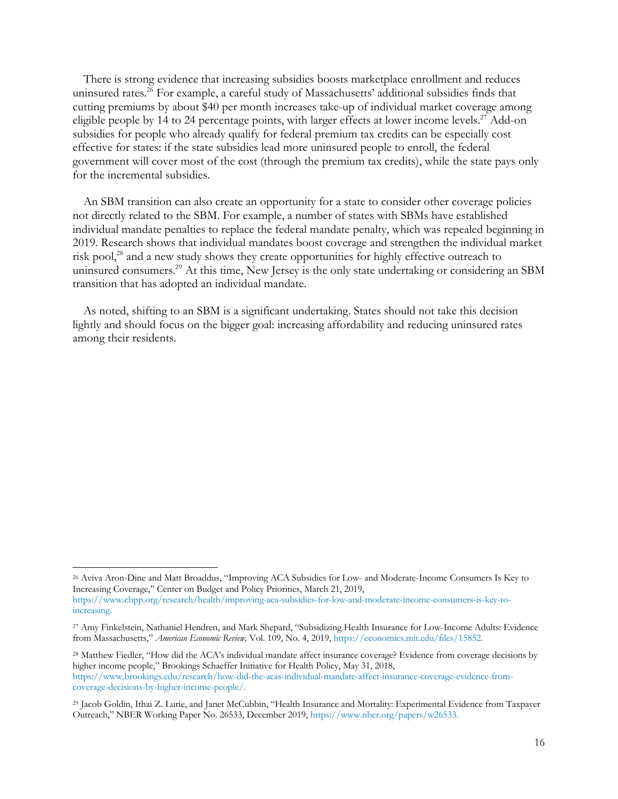There is strong evidence that increasing subsidies boosts marketplace enrollment and reduces uninsured rates. <sup>26</sup> For example, a careful study of Massachusetts' additional subsidies finds that cutting premiums by about \$40 per month increases take-up of individual market coverage among eligible people by 14 to 24 percentage points, with larger effects at lower income levels.<sup>27</sup> Add-on subsidies for people who already qualify for federal premium tax credits can be especially cost effective for states: if the state subsidies lead more uninsured people to enroll, the federal government will cover most of the cost (through the premium tax credits), while the state pays only for the incremental subsidies.

An SBM transition can also create an opportunity for a state to consider other coverage policies not directly related to the SBM. For example, a number of states with SBMs have established individual mandate penalties to replace the federal mandate penalty, which was repealed beginning in 2019. Research shows that individual mandates boost coverage and strengthen the individual market risk pool,<sup>28</sup> and a new study shows they create opportunities for highly effective outreach to uninsured consumers. <sup>29</sup> At this time, New Jersey is the only state undertaking or considering an SBM transition that has adopted an individual mandate.

As noted, shifting to an SBM is a significant undertaking. States should not take this decision lightly and should focus on the bigger goal: increasing affordability and reducing uninsured rates among their residents.

<sup>28</sup> Matthew Fiedler, "How did the ACA's individual mandate affect insurance coverage? Evidence from coverage decisions by higher income people," Brookings Schaeffer Initiative for Health Policy, May 31, 2018, https://www.brookings.edu/research/how-did-the-acas-individual-mandate-affect-insurance-coverage-evidence-fromcoverage-decisions-by-higher-income-people/.

<sup>26</sup> Aviva Aron-Dine and Matt Broaddus, "Improving ACA Subsidies for Low- and Moderate-Income Consumers Is Key to Increasing Coverage," Center on Budget and Policy Priorities, March 21, 2019, https://www.cbpp.org/research/health/improving-aca-subsidies-for-low-and-moderate-income-consumers-is-key-toincreasing.

<sup>27</sup> Amy Finkelstein, Nathaniel Hendren, and Mark Shepard, "Subsidizing Health Insurance for Low-Income Adults: Evidence from Massachusetts," *American Economic Review,* Vol. 109, No. 4, 2019, https://economics.mit.edu/files/15852.

<sup>29</sup> Jacob Goldin, Ithai Z. Lurie, and Janet McCubbin, "Health Insurance and Mortality: Experimental Evidence from Taxpayer Outreach," NBER Working Paper No. 26533, December 2019, https://www.nber.org/papers/w26533.